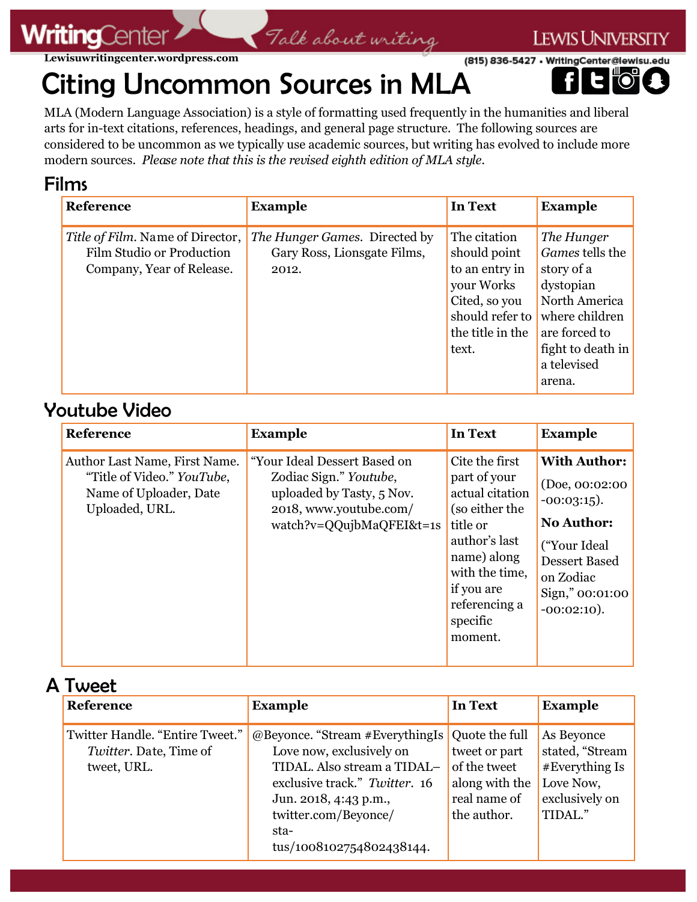#### **Lewisuwritingcenter.wordpress.com**

# (815) 836-5427 • WritingCenter@lewisu.edu Citing Uncommon Sources in MLA

MLA (Modern Language Association) is a style of formatting used frequently in the humanities and liberal arts for in-text citations, references, headings, and general page structure. The following sources are considered to be uncommon as we typically use academic sources, but writing has evolved to include more modern sources. *Please note that this is the revised eighth edition of MLA style.*

Talk about writing

**LEWIS UNIVERSITY** 

## Films

**WritingCent** 

| Reference                                                                                  | <b>Example</b>                                                               | <b>In Text</b>                                                                                                                | <b>Example</b>                                                                                                                                             |
|--------------------------------------------------------------------------------------------|------------------------------------------------------------------------------|-------------------------------------------------------------------------------------------------------------------------------|------------------------------------------------------------------------------------------------------------------------------------------------------------|
| Title of Film. Name of Director,<br>Film Studio or Production<br>Company, Year of Release. | <i>The Hunger Games.</i> Directed by<br>Gary Ross, Lionsgate Films,<br>2012. | The citation<br>should point<br>to an entry in<br>your Works<br>Cited, so you<br>should refer to<br>the title in the<br>text. | The Hunger<br>Games tells the<br>story of a<br>dystopian<br>North America<br>where children<br>are forced to<br>fight to death in<br>a televised<br>arena. |

### Youtube Video

| <b>Reference</b>                                                                                        | <b>Example</b>                                                                                                                            | <b>In Text</b>                                                                                                                                                                          | <b>Example</b>                                                                                                                                                            |
|---------------------------------------------------------------------------------------------------------|-------------------------------------------------------------------------------------------------------------------------------------------|-----------------------------------------------------------------------------------------------------------------------------------------------------------------------------------------|---------------------------------------------------------------------------------------------------------------------------------------------------------------------------|
| Author Last Name, First Name.<br>"Title of Video." YouTube,<br>Name of Uploader, Date<br>Uploaded, URL. | "Your Ideal Dessert Based on<br>Zodiac Sign." Youtube,<br>uploaded by Tasty, 5 Nov.<br>2018, www.youtube.com/<br>watch?v=QQujbMaQFEI&t=1s | Cite the first<br>part of your<br>actual citation<br>(so either the<br>title or<br>author's last<br>name) along<br>with the time,<br>if you are<br>referencing a<br>specific<br>moment. | <b>With Author:</b><br>(Doe, 00:02:00)<br>$-00:03:15$ ).<br><b>No Author:</b><br>("Your Ideal")<br><b>Dessert Based</b><br>on Zodiac<br>Sign," 00:01:00<br>$-00:02:10$ ). |

A Tweet

| <b>Reference</b><br><b>Example</b><br><b>Example</b><br><b>In Text</b><br>Twitter Handle. "Entire Tweet."<br>@Beyonce. "Stream #EverythingIs Quote the full<br>As Beyonce                                                                                                             | . vv ccc               |                                                                       |
|---------------------------------------------------------------------------------------------------------------------------------------------------------------------------------------------------------------------------------------------------------------------------------------|------------------------|-----------------------------------------------------------------------|
|                                                                                                                                                                                                                                                                                       |                        |                                                                       |
| Love now, exclusively on<br>TIDAL. Also stream a TIDAL-<br>of the tweet<br>tweet, URL.<br>Love Now,<br>exclusive track." Twitter. 16<br>along with the<br>real name of<br>Jun. 2018, 4:43 p.m.,<br>TIDAL."<br>the author.<br>twitter.com/Beyonce/<br>sta-<br>tus/1008102754802438144. | Twitter. Date, Time of | stated, "Stream<br>tweet or part<br>#Every thing Is<br>exclusively on |